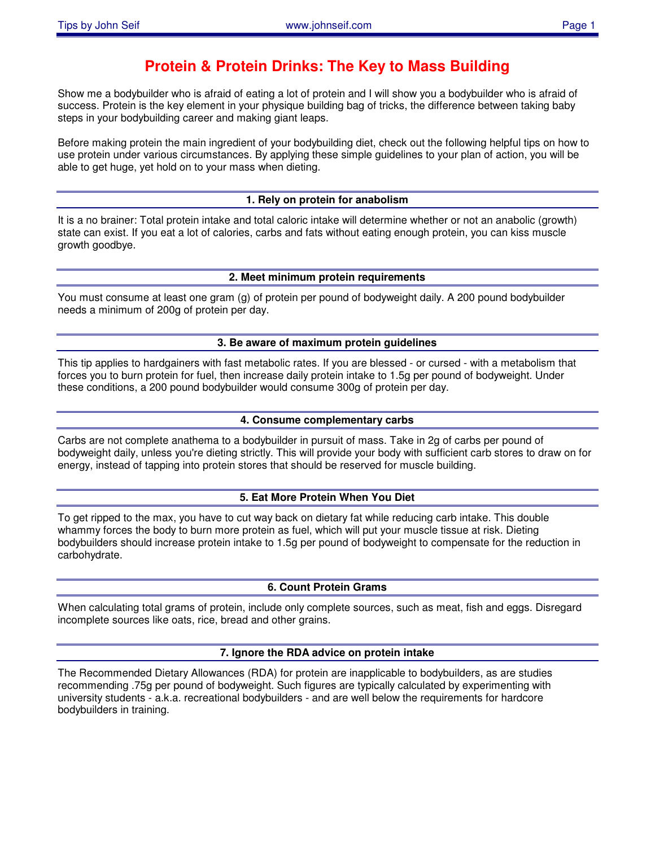# **Protein & Protein Drinks: The Key to Mass Building**

Show me a bodybuilder who is afraid of eating a lot of protein and I will show you a bodybuilder who is afraid of success. Protein is the key element in your physique building bag of tricks, the difference between taking baby steps in your bodybuilding career and making giant leaps.

Before making protein the main ingredient of your bodybuilding diet, check out the following helpful tips on how to use protein under various circumstances. By applying these simple guidelines to your plan of action, you will be able to get huge, yet hold on to your mass when dieting.

# **1. Rely on protein for anabolism**

It is a no brainer: Total protein intake and total caloric intake will determine whether or not an anabolic (growth) state can exist. If you eat a lot of calories, carbs and fats without eating enough protein, you can kiss muscle growth goodbye.

## **2. Meet minimum protein requirements**

You must consume at least one gram (g) of protein per pound of bodyweight daily. A 200 pound bodybuilder needs a minimum of 200g of protein per day.

## **3. Be aware of maximum protein guidelines**

This tip applies to hardgainers with fast metabolic rates. If you are blessed - or cursed - with a metabolism that forces you to burn protein for fuel, then increase daily protein intake to 1.5g per pound of bodyweight. Under these conditions, a 200 pound bodybuilder would consume 300g of protein per day.

# **4. Consume complementary carbs**

Carbs are not complete anathema to a bodybuilder in pursuit of mass. Take in 2g of carbs per pound of bodyweight daily, unless you're dieting strictly. This will provide your body with sufficient carb stores to draw on for energy, instead of tapping into protein stores that should be reserved for muscle building.

# **5. Eat More Protein When You Diet**

To get ripped to the max, you have to cut way back on dietary fat while reducing carb intake. This double whammy forces the body to burn more protein as fuel, which will put your muscle tissue at risk. Dieting bodybuilders should increase protein intake to 1.5g per pound of bodyweight to compensate for the reduction in carbohydrate.

## **6. Count Protein Grams**

When calculating total grams of protein, include only complete sources, such as meat, fish and eggs. Disregard incomplete sources like oats, rice, bread and other grains.

## **7. Ignore the RDA advice on protein intake**

The Recommended Dietary Allowances (RDA) for protein are inapplicable to bodybuilders, as are studies recommending .75g per pound of bodyweight. Such figures are typically calculated by experimenting with university students - a.k.a. recreational bodybuilders - and are well below the requirements for hardcore bodybuilders in training.